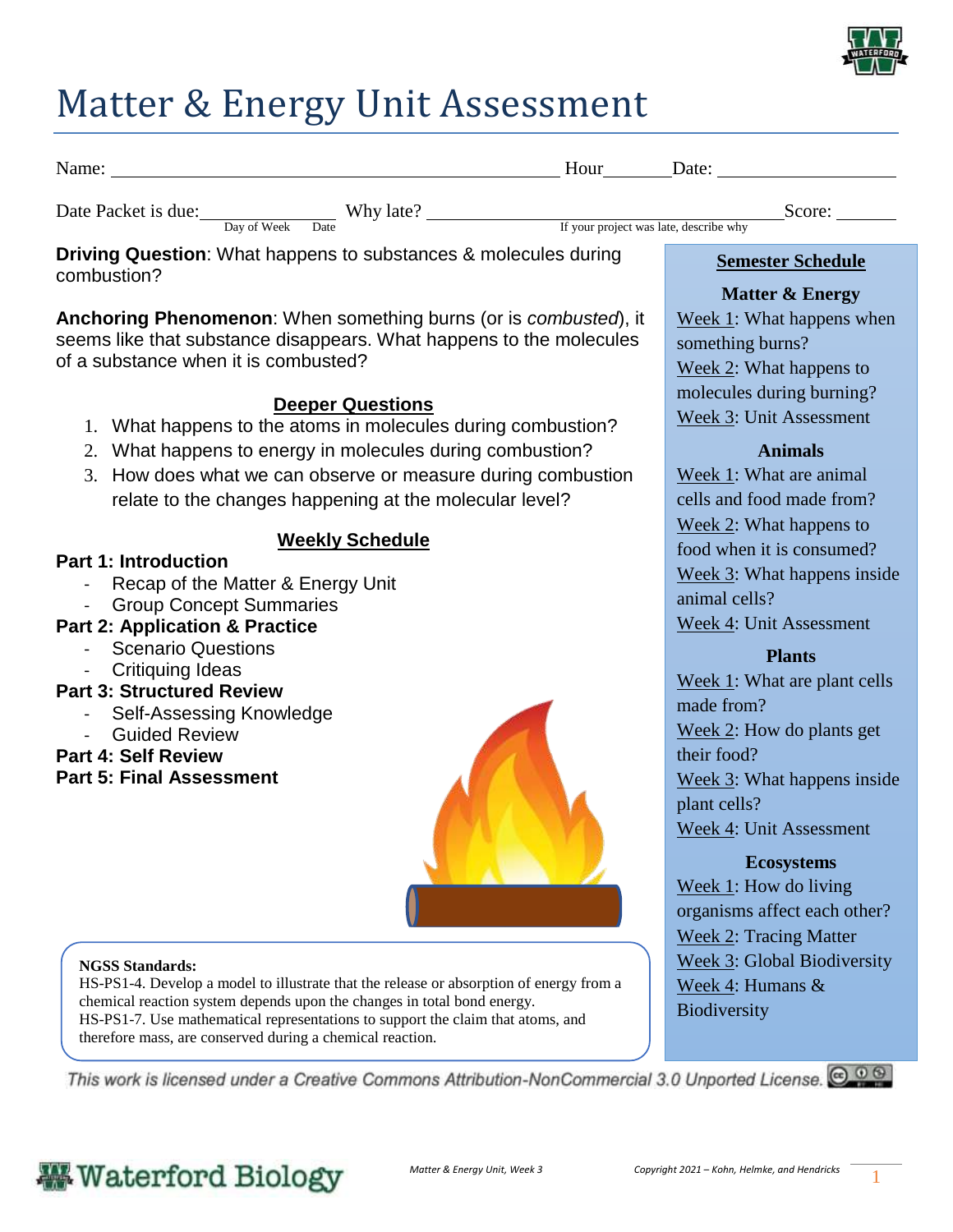

## Matter & Energy Unit Assessment

| Name:               |             |                   | Date:<br>Hour                          |        |
|---------------------|-------------|-------------------|----------------------------------------|--------|
| Date Packet is due: | Day of Week | Why late?<br>Date | If your project was late, describe why | Score: |

**Driving Question**: What happens to substances & molecules during combustion?

**Anchoring Phenomenon**: When something burns (or is *combusted*), it seems like that substance disappears. What happens to the molecules of a substance when it is combusted?

#### **Deeper Questions**

- 1. What happens to the atoms in molecules during combustion?
- 2. What happens to energy in molecules during combustion?
- 3. How does what we can observe or measure during combustion relate to the changes happening at the molecular level?

#### **Weekly Schedule**

#### **Part 1: Introduction**

- Recap of the Matter & Energy Unit
- Group Concept Summaries

#### **Part 2: Application & Practice**

- Scenario Questions
- Critiquing Ideas

#### **Part 3: Structured Review**

- Self-Assessing Knowledge
- **Guided Review**

#### **Part 4: Self Review**

**Part 5: Final Assessment**



#### **NGSS Standards:**

HS-PS1-4. Develop a model to illustrate that the release or absorption of energy from a chemical reaction system depends upon the changes in total bond energy. HS-PS1-7. Use mathematical representations to support the claim that atoms, and therefore mass, are conserved during a chemical reaction.

This work is licensed under a Creative Commons Attribution-NonCommercial 3.0 Unported License.  $\bigcirc \hspace{-3.5mm} \bullet \otimes$ 

### **Semester Schedule**

#### **Matter & Energy**

Week 1: What happens when something burns? Week 2: What happens to molecules during burning? Week 3: Unit Assessment

#### **Animals**

Week 1: What are animal cells and food made from? Week 2: What happens to food when it is consumed? Week 3: What happens inside animal cells? Week 4: Unit Assessment

#### **Plants**

Week 1: What are plant cells made from? Week 2: How do plants get their food? Week 3: What happens inside plant cells? Week 4: Unit Assessment

#### **Ecosystems**

Week 1: How do living organisms affect each other? Week 2: Tracing Matter Week 3: Global Biodiversity Week 4: Humans & **Biodiversity**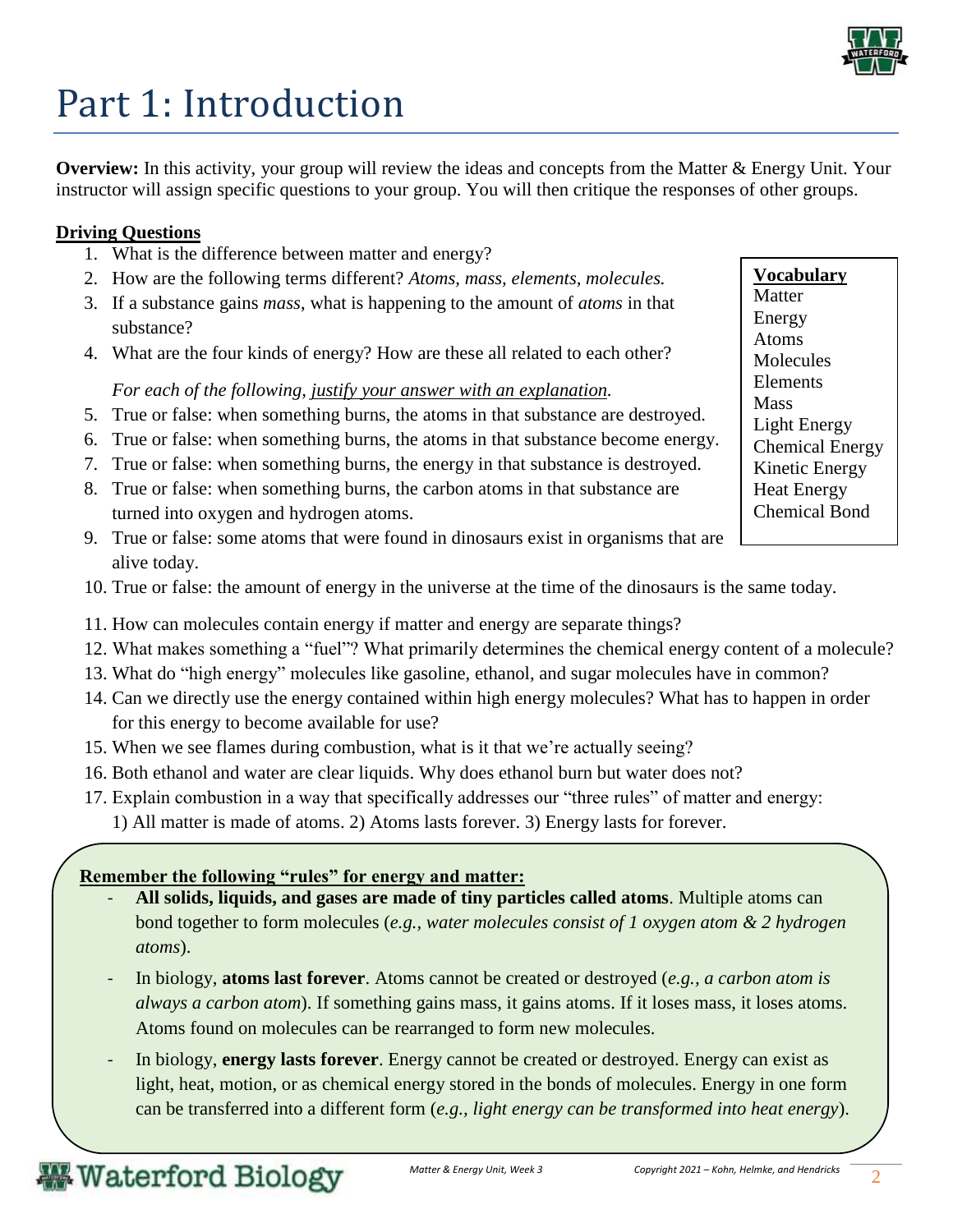

# Part 1: Introduction

**Overview:** In this activity, your group will review the ideas and concepts from the Matter & Energy Unit. Your instructor will assign specific questions to your group. You will then critique the responses of other groups.

#### **Driving Questions**

- 1. What is the difference between matter and energy?
- 2. How are the following terms different? *Atoms, mass, elements, molecules.*
- 3. If a substance gains *mass*, what is happening to the amount of *atoms* in that substance?
- 4. What are the four kinds of energy? How are these all related to each other?

#### *For each of the following, justify your answer with an explanation.*

- 5. True or false: when something burns, the atoms in that substance are destroyed.
- 6. True or false: when something burns, the atoms in that substance become energy.
- 7. True or false: when something burns, the energy in that substance is destroyed.
- 8. True or false: when something burns, the carbon atoms in that substance are turned into oxygen and hydrogen atoms.
- 9. True or false: some atoms that were found in dinosaurs exist in organisms that are alive today.
- 10. True or false: the amount of energy in the universe at the time of the dinosaurs is the same today.
- 11. How can molecules contain energy if matter and energy are separate things?
- 12. What makes something a "fuel"? What primarily determines the chemical energy content of a molecule?
- 13. What do "high energy" molecules like gasoline, ethanol, and sugar molecules have in common?
- 14. Can we directly use the energy contained within high energy molecules? What has to happen in order for this energy to become available for use?
- 15. When we see flames during combustion, what is it that we're actually seeing?
- 16. Both ethanol and water are clear liquids. Why does ethanol burn but water does not?
- 17. Explain combustion in a way that specifically addresses our "three rules" of matter and energy: 1) All matter is made of atoms. 2) Atoms lasts forever. 3) Energy lasts for forever.

### **Remember the following "rules" for energy and matter:**

- **All solids, liquids, and gases are made of tiny particles called atoms**. Multiple atoms can bond together to form molecules (*e.g., water molecules consist of 1 oxygen atom & 2 hydrogen atoms*).
- In biology, **atoms last forever**. Atoms cannot be created or destroyed (*e.g., a carbon atom is always a carbon atom*). If something gains mass, it gains atoms. If it loses mass, it loses atoms. Atoms found on molecules can be rearranged to form new molecules.
- In biology, **energy lasts forever**. Energy cannot be created or destroyed. Energy can exist as light, heat, motion, or as chemical energy stored in the bonds of molecules. Energy in one form can be transferred into a different form (*e.g., light energy can be transformed into heat energy*).

**Vocabulary** Matter Energy Atoms Molecules Elements **Mass** Light Energy Chemical Energy Kinetic Energy Heat Energy Chemical Bond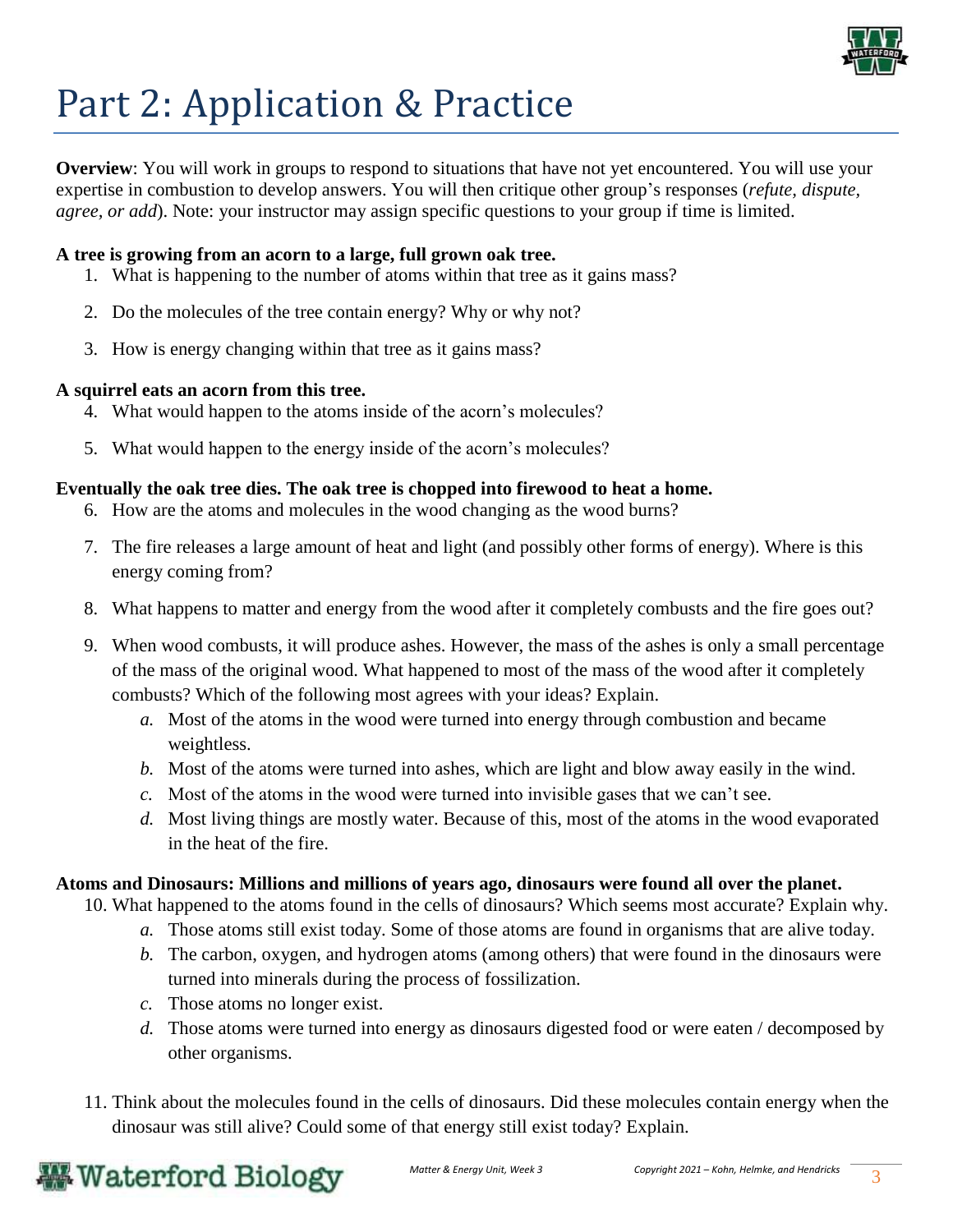

# Part 2: Application & Practice

**Overview**: You will work in groups to respond to situations that have not yet encountered. You will use your expertise in combustion to develop answers. You will then critique other group's responses (*refute, dispute, agree, or add*). Note: your instructor may assign specific questions to your group if time is limited.

#### **A tree is growing from an acorn to a large, full grown oak tree.**

- 1. What is happening to the number of atoms within that tree as it gains mass?
- 2. Do the molecules of the tree contain energy? Why or why not?
- 3. How is energy changing within that tree as it gains mass?

#### **A squirrel eats an acorn from this tree.**

- 4. What would happen to the atoms inside of the acorn's molecules?
- 5. What would happen to the energy inside of the acorn's molecules?

#### **Eventually the oak tree dies. The oak tree is chopped into firewood to heat a home.**

- 6. How are the atoms and molecules in the wood changing as the wood burns?
- 7. The fire releases a large amount of heat and light (and possibly other forms of energy). Where is this energy coming from?
- 8. What happens to matter and energy from the wood after it completely combusts and the fire goes out?
- 9. When wood combusts, it will produce ashes. However, the mass of the ashes is only a small percentage of the mass of the original wood. What happened to most of the mass of the wood after it completely combusts? Which of the following most agrees with your ideas? Explain.
	- *a.* Most of the atoms in the wood were turned into energy through combustion and became weightless.
	- *b.* Most of the atoms were turned into ashes, which are light and blow away easily in the wind.
	- *c.* Most of the atoms in the wood were turned into invisible gases that we can't see.
	- *d.* Most living things are mostly water. Because of this, most of the atoms in the wood evaporated in the heat of the fire.

#### **Atoms and Dinosaurs: Millions and millions of years ago, dinosaurs were found all over the planet.**

10. What happened to the atoms found in the cells of dinosaurs? Which seems most accurate? Explain why.

- *a.* Those atoms still exist today. Some of those atoms are found in organisms that are alive today.
- *b.* The carbon, oxygen, and hydrogen atoms (among others) that were found in the dinosaurs were turned into minerals during the process of fossilization.
- *c.* Those atoms no longer exist.
- *d.* Those atoms were turned into energy as dinosaurs digested food or were eaten / decomposed by other organisms.
- 11. Think about the molecules found in the cells of dinosaurs. Did these molecules contain energy when the dinosaur was still alive? Could some of that energy still exist today? Explain.

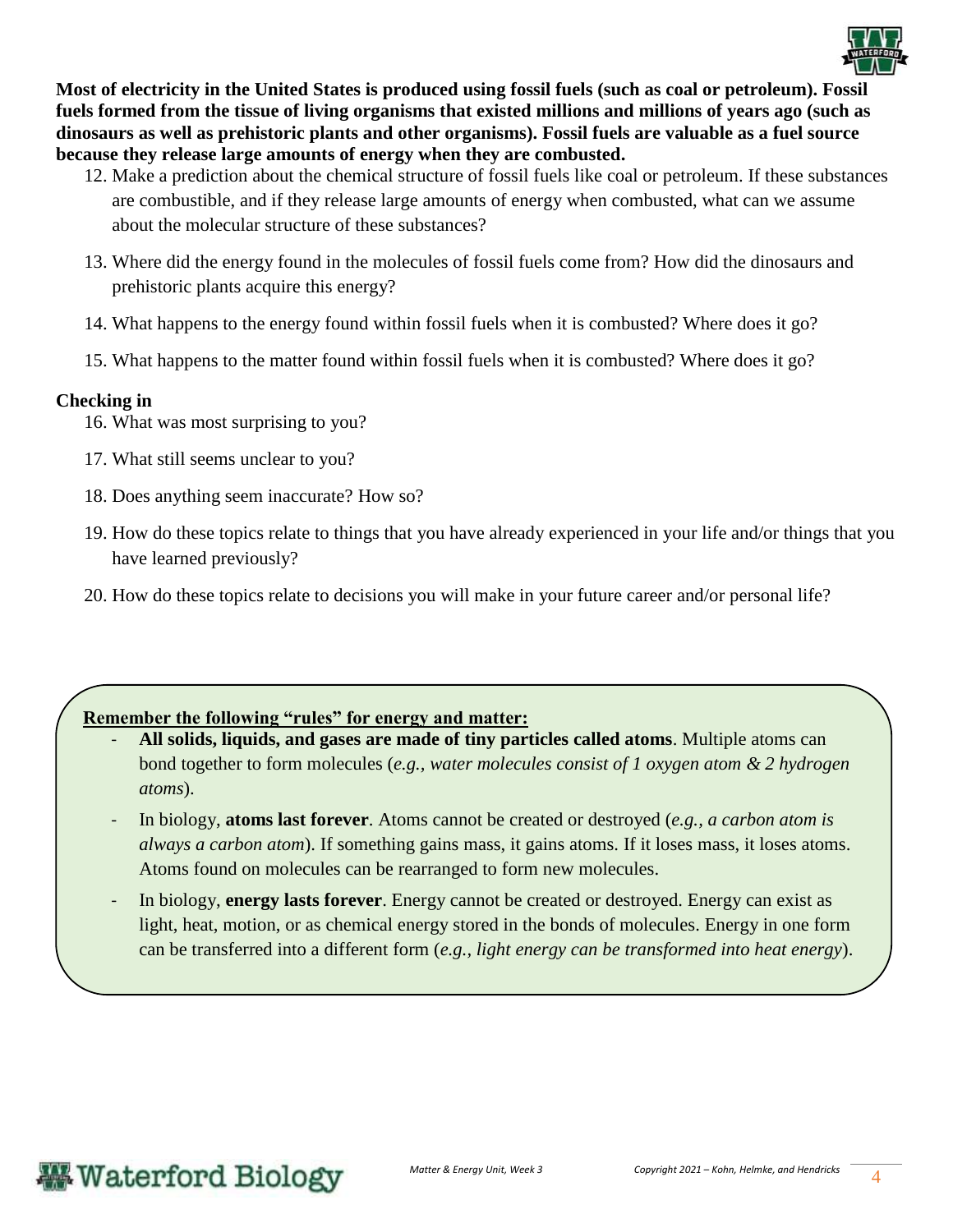

**Most of electricity in the United States is produced using fossil fuels (such as coal or petroleum). Fossil fuels formed from the tissue of living organisms that existed millions and millions of years ago (such as dinosaurs as well as prehistoric plants and other organisms). Fossil fuels are valuable as a fuel source because they release large amounts of energy when they are combusted.** 

- 12. Make a prediction about the chemical structure of fossil fuels like coal or petroleum. If these substances are combustible, and if they release large amounts of energy when combusted, what can we assume about the molecular structure of these substances?
- 13. Where did the energy found in the molecules of fossil fuels come from? How did the dinosaurs and prehistoric plants acquire this energy?
- 14. What happens to the energy found within fossil fuels when it is combusted? Where does it go?
- 15. What happens to the matter found within fossil fuels when it is combusted? Where does it go?

#### **Checking in**

- 16. What was most surprising to you?
- 17. What still seems unclear to you?
- 18. Does anything seem inaccurate? How so?
- 19. How do these topics relate to things that you have already experienced in your life and/or things that you have learned previously?
- 20. How do these topics relate to decisions you will make in your future career and/or personal life?

#### **Remember the following "rules" for energy and matter:**

- **All solids, liquids, and gases are made of tiny particles called atoms**. Multiple atoms can bond together to form molecules (*e.g., water molecules consist of 1 oxygen atom & 2 hydrogen atoms*).
- In biology, **atoms last forever**. Atoms cannot be created or destroyed (*e.g., a carbon atom is always a carbon atom*). If something gains mass, it gains atoms. If it loses mass, it loses atoms. Atoms found on molecules can be rearranged to form new molecules.
- In biology, **energy lasts forever**. Energy cannot be created or destroyed. Energy can exist as light, heat, motion, or as chemical energy stored in the bonds of molecules. Energy in one form can be transferred into a different form (*e.g., light energy can be transformed into heat energy*).

### **Waterford Biology**